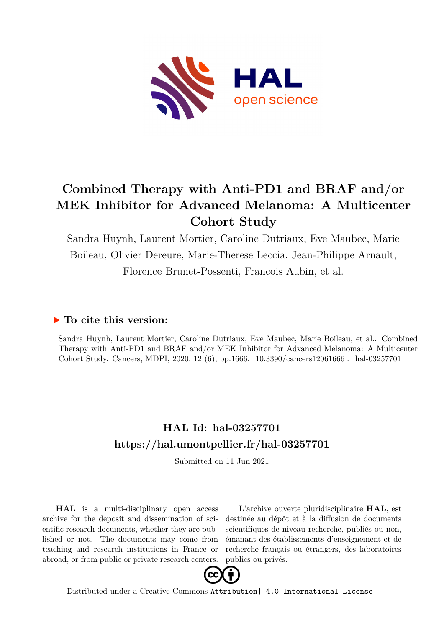

## **Combined Therapy with Anti-PD1 and BRAF and/or MEK Inhibitor for Advanced Melanoma: A Multicenter Cohort Study**

Sandra Huynh, Laurent Mortier, Caroline Dutriaux, Eve Maubec, Marie Boileau, Olivier Dereure, Marie-Therese Leccia, Jean-Philippe Arnault, Florence Brunet-Possenti, Francois Aubin, et al.

## **To cite this version:**

Sandra Huynh, Laurent Mortier, Caroline Dutriaux, Eve Maubec, Marie Boileau, et al.. Combined Therapy with Anti-PD1 and BRAF and/or MEK Inhibitor for Advanced Melanoma: A Multicenter Cohort Study. Cancers, MDPI, 2020, 12 (6), pp.1666. 10.3390/cancers12061666 hal-03257701

## **HAL Id: hal-03257701 <https://hal.umontpellier.fr/hal-03257701>**

Submitted on 11 Jun 2021

**HAL** is a multi-disciplinary open access archive for the deposit and dissemination of scientific research documents, whether they are published or not. The documents may come from teaching and research institutions in France or abroad, or from public or private research centers.

L'archive ouverte pluridisciplinaire **HAL**, est destinée au dépôt et à la diffusion de documents scientifiques de niveau recherche, publiés ou non, émanant des établissements d'enseignement et de recherche français ou étrangers, des laboratoires publics ou privés.



Distributed under a Creative Commons [Attribution| 4.0 International License](http://creativecommons.org/licenses/by/4.0/)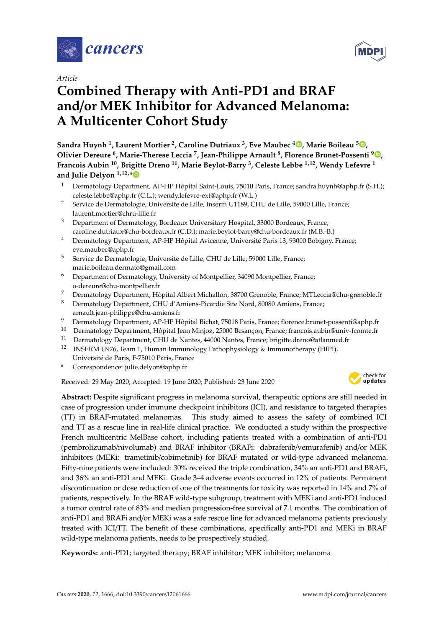

*Article*

# **Combined Therapy with Anti-PD1 and BRAF and**/**or MEK Inhibitor for Advanced Melanoma: A Multicenter Cohort Study**

**Sandra Huynh <sup>1</sup> , Laurent Mortier <sup>2</sup> , Caroline Dutriaux <sup>3</sup> , Eve Maubec [4](https://orcid.org/0000-0003-1658-6686) , Marie Boileau <sup>5</sup> [,](https://orcid.org/0000-0002-0924-7371) Olivier Dereure <sup>6</sup> , Marie-Therese Leccia <sup>7</sup> , Jean-Philippe Arnault <sup>8</sup> , Florence Brunet-Possenti <sup>9</sup> [,](https://orcid.org/0000-0003-2100-2913) Francois Aubin <sup>10</sup>, Brigitte Dreno <sup>11</sup>, Marie Beylot-Barry <sup>3</sup> , Celeste Lebbe 1,12, Wendy Lefevre <sup>1</sup> and Julie Delyon 1,12,[\\*](https://orcid.org/0000-0002-4557-3377)**

- <sup>1</sup> Dermatology Department, AP-HP Hôpital Saint-Louis, 75010 Paris, France; sandra.huynh@aphp.fr (S.H.); celeste.lebbe@aphp.fr (C.L.); wendy.lefevre-ext@aphp.fr (W.L.)
- <sup>2</sup> Service de Dermatologie, Universite de Lille, Inserm U1189, CHU de Lille, 59000 Lille, France; laurent.mortier@chru-lille.fr
- <sup>3</sup> Department of Dermatology, Bordeaux Universitary Hospital, 33000 Bordeaux, France; caroline.dutriaux@chu-bordeaux.fr (C.D.); marie.beylot-barry@chu-bordeaux.fr (M.B.-B.)
- <sup>4</sup> Dermatology Department, AP-HP Hôpital Avicenne, Université Paris 13, 93000 Bobigny, France; eve.maubec@aphp.fr
- <sup>5</sup> Service de Dermatologie, Universite de Lille, CHU de Lille, 59000 Lille, France; marie.boileau.dermato@gmail.com
- <sup>6</sup> Department of Dermatology, University of Montpellier, 34090 Montpellier, France; o-dereure@chu-montpellier.fr
- <sup>7</sup> Dermatology Department, Hôpital Albert Michallon, 38700 Grenoble, France; MTLeccia@chu-grenoble.fr
- 8 Dermatology Department, CHU d'Amiens-Picardie Site Nord, 80080 Amiens, France; arnault.jean-philippe@chu-amiens.fr
- <sup>9</sup> Dermatology Department, AP-HP Hôpital Bichat, 75018 Paris, France; florence.brunet-possenti@aphp.fr
- <sup>10</sup> Dermatology Department, Hôpital Jean Minjoz, 25000 Besançon, France; francois.aubin@univ-fcomte.fr
- <sup>11</sup> Dermatology Department, CHU de Nantes, 44000 Nantes, France; brigitte.dreno@atlanmed.fr<br><sup>12</sup> INSERM U976 Team 1 Human Immunology Pathophysiology & Immunotherany (HIPI)
- <sup>12</sup> INSERM U976, Team 1, Human Immunology Pathophysiology & Immunotherapy (HIPI), Université de Paris, F-75010 Paris, France
- **\*** Correspondence: julie.delyon@aphp.fr

Received: 29 May 2020; Accepted: 19 June 2020; Published: 23 June 2020



**Abstract:** Despite significant progress in melanoma survival, therapeutic options are still needed in case of progression under immune checkpoint inhibitors (ICI), and resistance to targeted therapies (TT) in BRAF-mutated melanomas. This study aimed to assess the safety of combined ICI and TT as a rescue line in real-life clinical practice. We conducted a study within the prospective French multicentric MelBase cohort, including patients treated with a combination of anti-PD1 (pembrolizumab/nivolumab) and BRAF inhibitor (BRAFi: dabrafenib/vemurafenib) and/or MEK inhibitors (MEKi: trametinib/cobimetinib) for BRAF mutated or wild-type advanced melanoma. Fifty-nine patients were included: 30% received the triple combination, 34% an anti-PD1 and BRAFi, and 36% an anti-PD1 and MEKi. Grade 3–4 adverse events occurred in 12% of patients. Permanent discontinuation or dose reduction of one of the treatments for toxicity was reported in 14% and 7% of patients, respectively. In the BRAF wild-type subgroup, treatment with MEKi and anti-PD1 induced a tumor control rate of 83% and median progression-free survival of 7.1 months. The combination of anti-PD1 and BRAFi and/or MEKi was a safe rescue line for advanced melanoma patients previously treated with ICI/TT. The benefit of these combinations, specifically anti-PD1 and MEKi in BRAF wild-type melanoma patients, needs to be prospectively studied.

**Keywords:** anti-PD1; targeted therapy; BRAF inhibitor; MEK inhibitor; melanoma

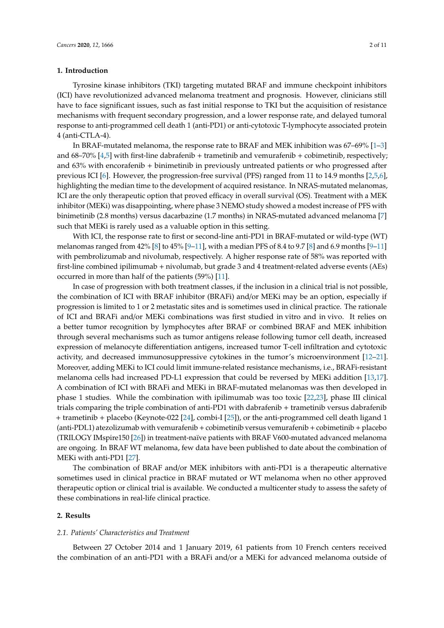#### **1. Introduction**

Tyrosine kinase inhibitors (TKI) targeting mutated BRAF and immune checkpoint inhibitors (ICI) have revolutionized advanced melanoma treatment and prognosis. However, clinicians still have to face significant issues, such as fast initial response to TKI but the acquisition of resistance mechanisms with frequent secondary progression, and a lower response rate, and delayed tumoral response to anti-programmed cell death 1 (anti-PD1) or anti-cytotoxic T-lymphocyte associated protein 4 (anti-CTLA-4).

In BRAF-mutated melanoma, the response rate to BRAF and MEK inhibition was  $67-69\%$  [1–3] and 68–70% [4,5] with first-line dabrafenib + trametinib and vemurafenib + cobimetinib, respectively; and 63% with encorafenib + binimetinib in previously untreated patients or who progressed after previous ICI [6]. However, the progression-free survival (PFS) ranged from 11 to 14.9 months [2,5,6], highlighting the median time to the development of acquired resistance. In NRAS-mutated melanomas, ICI are the only therapeutic option that proved efficacy in overall survival (OS). Treatment with a MEK inhibitor (MEKi) was disappointing, where phase 3 NEMO study showed a modest increase of PFS with binimetinib (2.8 months) versus dacarbazine (1.7 months) in NRAS-mutated advanced melanoma [7] such that MEKi is rarely used as a valuable option in this setting.

With ICI, the response rate to first or second-line anti-PD1 in BRAF-mutated or wild-type (WT) melanomas ranged from 42% [8] to 45% [9–11], with a median PFS of 8.4 to 9.7 [8] and 6.9 months [9–11] with pembrolizumab and nivolumab, respectively. A higher response rate of 58% was reported with first-line combined ipilimumab + nivolumab, but grade 3 and 4 treatment-related adverse events (AEs) occurred in more than half of the patients (59%) [11].

In case of progression with both treatment classes, if the inclusion in a clinical trial is not possible, the combination of ICI with BRAF inhibitor (BRAFi) and/or MEKi may be an option, especially if progression is limited to 1 or 2 metastatic sites and is sometimes used in clinical practice. The rationale of ICI and BRAFi and/or MEKi combinations was first studied in vitro and in vivo. It relies on a better tumor recognition by lymphocytes after BRAF or combined BRAF and MEK inhibition through several mechanisms such as tumor antigens release following tumor cell death, increased expression of melanocyte differentiation antigens, increased tumor T-cell infiltration and cytotoxic activity, and decreased immunosuppressive cytokines in the tumor's microenvironment [12–21]. Moreover, adding MEKi to ICI could limit immune-related resistance mechanisms, i.e., BRAFi-resistant melanoma cells had increased PD-L1 expression that could be reversed by MEKi addition [13,17]. A combination of ICI with BRAFi and MEKi in BRAF-mutated melanomas was then developed in phase 1 studies. While the combination with ipilimumab was too toxic [22,23], phase III clinical trials comparing the triple combination of anti-PD1 with dabrafenib + trametinib versus dabrafenib + trametinib + placebo (Keynote-022 [24], combi-I [25]), or the anti-programmed cell death ligand 1 (anti-PDL1) atezolizumab with vemurafenib + cobimetinib versus vemurafenib + cobimetinib + placebo (TRILOGY IMspire150 [26]) in treatment-naïve patients with BRAF V600-mutated advanced melanoma are ongoing. In BRAF WT melanoma, few data have been published to date about the combination of MEKi with anti-PD1 [27].

The combination of BRAF and/or MEK inhibitors with anti-PD1 is a therapeutic alternative sometimes used in clinical practice in BRAF mutated or WT melanoma when no other approved therapeutic option or clinical trial is available. We conducted a multicenter study to assess the safety of these combinations in real-life clinical practice.

#### **2. Results**

#### *2.1. Patients' Characteristics and Treatment*

Between 27 October 2014 and 1 January 2019, 61 patients from 10 French centers received the combination of an anti-PD1 with a BRAFi and/or a MEKi for advanced melanoma outside of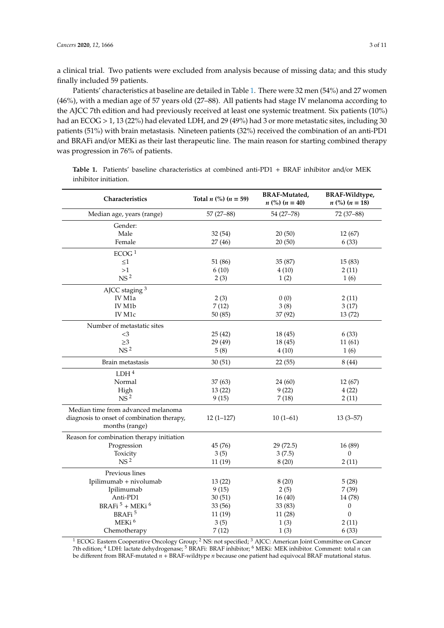a clinical trial. Two patients were excluded from analysis because of missing data; and this study finally included 59 patients.

Patients' characteristics at baseline are detailed in Table 1. There were 32 men (54%) and 27 women (46%), with a median age of 57 years old (27–88). All patients had stage IV melanoma according to the AJCC 7th edition and had previously received at least one systemic treatment. Six patients (10%) had an ECOG > 1, 13 (22%) had elevated LDH, and 29 (49%) had 3 or more metastatic sites, including 30 patients (51%) with brain metastasis. Nineteen patients (32%) received the combination of an anti-PD1 and BRAFi and/or MEKi as their last therapeutic line. The main reason for starting combined therapy was progression in 76% of patients.

| Characteristics                            | Total $n$ (%) $(n = 59)$ | <b>BRAF-Mutated,</b><br>$n$ (%) $(n = 40)$ | BRAF-Wildtype,<br>$n$ (%) $(n = 18)$ |  |
|--------------------------------------------|--------------------------|--------------------------------------------|--------------------------------------|--|
| Median age, years (range)                  | $57(27 - 88)$            | 54 (27-78)                                 | 72 (37-88)                           |  |
| Gender:                                    |                          |                                            |                                      |  |
| Male                                       | 32(54)                   | 20(50)                                     | 12(67)                               |  |
| Female                                     | 27(46)                   | 20(50)                                     | 6(33)                                |  |
| ECOG <sup>1</sup>                          |                          |                                            |                                      |  |
| $\leq1$                                    | 51 (86)                  | 35 (87)                                    | 15(83)                               |  |
| >1                                         | 6(10)                    | 4(10)                                      | 2(11)                                |  |
| NS <sup>2</sup>                            | 2(3)                     | 1(2)                                       | 1(6)                                 |  |
| AJCC staging 3                             |                          |                                            |                                      |  |
| IV M1a                                     | 2(3)                     | 0(0)                                       | 2(11)                                |  |
| IV M1b                                     | 7(12)                    | 3(8)                                       | 3(17)                                |  |
| IV M1c                                     | 50(85)                   | 37 (92)                                    | 13(72)                               |  |
| Number of metastatic sites                 |                          |                                            |                                      |  |
| $<$ 3                                      | 25(42)                   | 18 (45)                                    | 6(33)                                |  |
| $\geq$ 3                                   | 29 (49)                  | 18 (45)                                    | 11(61)                               |  |
| NS <sup>2</sup>                            | 5(8)                     | 4(10)                                      | 1(6)                                 |  |
| Brain metastasis                           | 30(51)                   | 22(55)                                     | 8(44)                                |  |
| LDH <sup>4</sup>                           |                          |                                            |                                      |  |
| Normal                                     | 37(63)                   | 24 (60)                                    | 12(67)                               |  |
| High                                       | 13(22)                   | 9(22)                                      | 4(22)                                |  |
| NS <sup>2</sup>                            | 9(15)                    | 7(18)                                      | 2(11)                                |  |
| Median time from advanced melanoma         |                          |                                            |                                      |  |
| diagnosis to onset of combination therapy, | $12(1-127)$              | $10(1-61)$                                 | $13(3-57)$                           |  |
| months (range)                             |                          |                                            |                                      |  |
| Reason for combination therapy initiation  |                          |                                            |                                      |  |
| Progression                                | 45 (76)                  | 29 (72.5)                                  | 16(89)                               |  |
| Toxicity                                   | 3(5)                     | 3(7.5)                                     | $\Omega$                             |  |
| NS <sup>2</sup>                            | 11(19)                   | 8(20)                                      | 2(11)                                |  |
| Previous lines                             |                          |                                            |                                      |  |
| Ipilimumab + nivolumab                     | 13(22)                   | 8(20)                                      | 5(28)                                |  |
| Ipilimumab                                 | 9(15)                    | 2(5)                                       | 7(39)                                |  |
| Anti-PD1                                   | 30(51)                   | 16(40)                                     | 14 (78)                              |  |
| BRAFi <sup>5</sup> + MEKi <sup>6</sup>     | 33 (56)                  | 33 (83)                                    | 0                                    |  |
| BRAFi <sup>5</sup>                         | 11(19)                   | 11(28)                                     | $\boldsymbol{0}$                     |  |
| MEKi <sup>6</sup>                          | 3(5)                     | 1(3)                                       | 2(11)                                |  |
| Chemotherapy                               | 7(12)                    | 1(3)                                       | 6(33)                                |  |

**Table 1.** Patients' baseline characteristics at combined anti-PD1 + BRAF inhibitor and/or MEK inhibitor initiation.

<sup>1</sup> ECOG: Eastern Cooperative Oncology Group; <sup>2</sup> NS: not specified; <sup>3</sup> AJCC: American Joint Committee on Cancer 7th edition; <sup>4</sup> LDH: lactate dehydrogenase; <sup>5</sup> BRAFi: BRAF inhibitor; <sup>6</sup> MEKi: MEK inhibitor. Comment: total *n* can be different from BRAF-mutated *n* + BRAF-wildtype *n* because one patient had equivocal BRAF mutational status.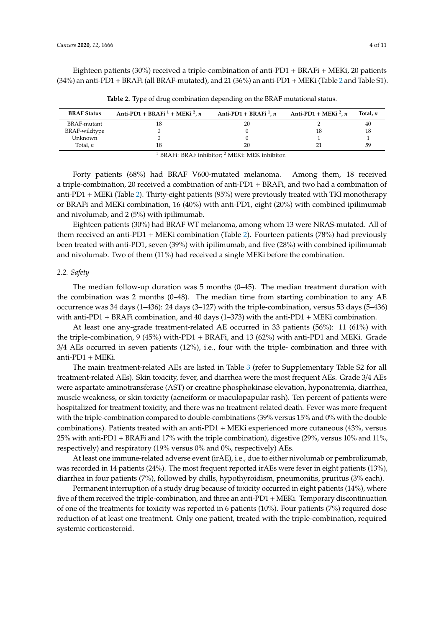Eighteen patients (30%) received a triple-combination of anti-PD1 + BRAFi + MEKi, 20 patients (34%) an anti-PD1 + BRAFi (all BRAF-mutated), and 21 (36%) an anti-PD1 + MEKi (Table 2 and Table S1).

| <b>BRAF Status</b> | Anti-PD1 + BRAFi <sup>1</sup> + MEKi <sup>2</sup> , n | Anti-PD1 + BRAFi <sup>1</sup> , n                        | Anti-PD1 + MEKi <sup>2</sup> , n | Total. n |
|--------------------|-------------------------------------------------------|----------------------------------------------------------|----------------------------------|----------|
| BRAF-mutant        |                                                       | 20                                                       |                                  | 40       |
| BRAF-wildtype      |                                                       |                                                          | 18                               |          |
| Unknown            |                                                       |                                                          |                                  |          |
| Total. $n$         |                                                       | 20                                                       |                                  | 59       |
|                    |                                                       | BRAFi: BRAF inhibitor: <sup>2</sup> MEKi: MEK inhibitor. |                                  |          |

**Table 2.** Type of drug combination depending on the BRAF mutational status.

Forty patients (68%) had BRAF V600-mutated melanoma. Among them, 18 received a triple-combination, 20 received a combination of anti-PD1 + BRAFi, and two had a combination of anti-PD1 + MEKi (Table 2). Thirty-eight patients (95%) were previously treated with TKI monotherapy or BRAFi and MEKi combination, 16 (40%) with anti-PD1, eight (20%) with combined ipilimumab and nivolumab, and 2 (5%) with ipilimumab.

Eighteen patients (30%) had BRAF WT melanoma, among whom 13 were NRAS-mutated. All of them received an anti-PD1 + MEKi combination (Table 2). Fourteen patients (78%) had previously been treated with anti-PD1, seven (39%) with ipilimumab, and five (28%) with combined ipilimumab and nivolumab. Two of them (11%) had received a single MEKi before the combination.

#### *2.2. Safety*

The median follow-up duration was 5 months (0–45). The median treatment duration with the combination was 2 months (0–48). The median time from starting combination to any AE occurrence was 34 days (1–436): 24 days (3–127) with the triple-combination, versus 53 days (5–436) with anti-PD1 + BRAFi combination, and 40 days  $(1-373)$  with the anti-PD1 + MEKi combination.

At least one any-grade treatment-related AE occurred in 33 patients (56%): 11 (61%) with the triple-combination, 9 (45%) with-PD1 + BRAFi, and 13 (62%) with anti-PD1 and MEKi. Grade 3/4 AEs occurred in seven patients (12%), i.e., four with the triple- combination and three with anti-PD1 + MEKi.

The main treatment-related AEs are listed in Table 3 (refer to Supplementary Table S2 for all treatment-related AEs). Skin toxicity, fever, and diarrhea were the most frequent AEs. Grade 3/4 AEs were aspartate aminotransferase (AST) or creatine phosphokinase elevation, hyponatremia, diarrhea, muscle weakness, or skin toxicity (acneiform or maculopapular rash). Ten percent of patients were hospitalized for treatment toxicity, and there was no treatment-related death. Fever was more frequent with the triple-combination compared to double-combinations (39% versus 15% and 0% with the double combinations). Patients treated with an anti-PD1 + MEKi experienced more cutaneous (43%, versus 25% with anti-PD1 + BRAFi and 17% with the triple combination), digestive (29%, versus 10% and 11%, respectively) and respiratory (19% versus 0% and 0%, respectively) AEs.

At least one immune-related adverse event (irAE), i.e., due to either nivolumab or pembrolizumab, was recorded in 14 patients (24%). The most frequent reported irAEs were fever in eight patients (13%), diarrhea in four patients (7%), followed by chills, hypothyroidism, pneumonitis, pruritus (3% each).

Permanent interruption of a study drug because of toxicity occurred in eight patients (14%), where five of them received the triple-combination, and three an anti-PD1 + MEKi. Temporary discontinuation of one of the treatments for toxicity was reported in 6 patients (10%). Four patients (7%) required dose reduction of at least one treatment. Only one patient, treated with the triple-combination, required systemic corticosteroid.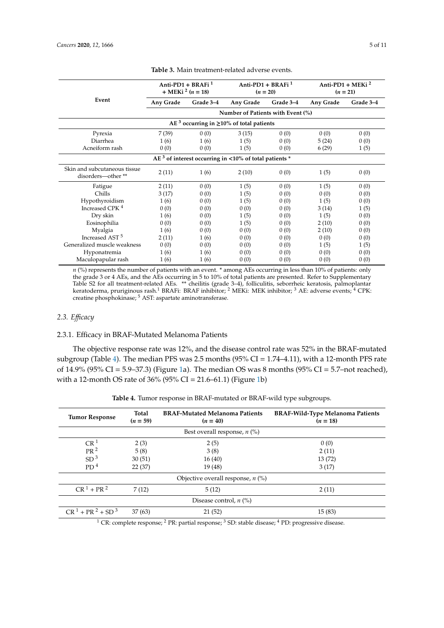|                                                   |                                   | Anti-PD1 + BRAFi $1$<br>+ MEKi <sup>2</sup> ( <i>n</i> = 18) |                                                           | Anti-PD1 + BRAFi <sup>1</sup><br>$(n = 20)$ |           | Anti-PD1 + MEKi $^2$<br>$(n = 21)$ |
|---------------------------------------------------|-----------------------------------|--------------------------------------------------------------|-----------------------------------------------------------|---------------------------------------------|-----------|------------------------------------|
| Event                                             | Any Grade                         | Grade 3-4                                                    | Any Grade                                                 | Grade 3-4                                   | Any Grade | Grade 3-4                          |
|                                                   | Number of Patients with Event (%) |                                                              |                                                           |                                             |           |                                    |
|                                                   |                                   |                                                              | AE <sup>3</sup> occurring in $\geq$ 10% of total patients |                                             |           |                                    |
| Pyrexia                                           | 7(39)                             | 0(0)                                                         | 3(15)                                                     | 0(0)                                        | 0(0)      | 0(0)                               |
| Diarrhea                                          | 1(6)                              | 1(6)                                                         | 1(5)                                                      | 0(0)                                        | 5(24)     | 0(0)                               |
| Acneiform rash                                    | 0(0)                              | 0(0)                                                         | 1(5)                                                      | 0(0)                                        | 6(29)     | 1(5)                               |
|                                                   |                                   |                                                              | $AE3$ of interest occurring in <10% of total patients *   |                                             |           |                                    |
| Skin and subcutaneous tissue<br>disorders-other** | 2(11)                             | 1(6)                                                         | 2(10)                                                     | 0(0)                                        | 1(5)      | 0(0)                               |
| Fatigue                                           | 2(11)                             | 0(0)                                                         | 1(5)                                                      | 0(0)                                        | 1(5)      | 0(0)                               |
| Chills                                            | 3(17)                             | 0(0)                                                         | 1(5)                                                      | 0(0)                                        | 0(0)      | 0(0)                               |
| Hypothyroidism                                    | 1(6)                              | 0(0)                                                         | 1(5)                                                      | 0(0)                                        | 1(5)      | 0(0)                               |
| Increased CPK <sup>4</sup>                        | 0(0)                              | 0(0)                                                         | 0(0)                                                      | 0(0)                                        | 3(14)     | 1(5)                               |
| Dry skin                                          | 1(6)                              | 0(0)                                                         | 1(5)                                                      | 0(0)                                        | 1(5)      | 0(0)                               |
| Eosinophilia                                      | 0(0)                              | 0(0)                                                         | 1(5)                                                      | 0(0)                                        | 2(10)     | 0(0)                               |
| Myalgia                                           | 1(6)                              | 0(0)                                                         | 0(0)                                                      | 0(0)                                        | 2(10)     | 0(0)                               |
| Increased AST <sup>5</sup>                        | 2(11)                             | 1(6)                                                         | 0(0)                                                      | 0(0)                                        | 0(0)      | 0(0)                               |
| Generalized muscle weakness                       | 0(0)                              | 0(0)                                                         | 0(0)                                                      | 0(0)                                        | 1(5)      | 1(5)                               |
| Hyponatremia                                      | 1(6)                              | 1(6)                                                         | 0(0)                                                      | 0(0)                                        | 0(0)      | 0(0)                               |
| Maculopapular rash                                | 1(6)                              | 1(6)                                                         | 0(0)                                                      | 0(0)                                        | 0(0)      | 0(0)                               |

**Table 3.** Main treatment-related adverse events.

*n* (%) represents the number of patients with an event. \* among AEs occurring in less than 10% of patients: only the grade 3 or 4 AEs, and the AEs occurring in 5 to 10% of total patients are presented. Refer to Supplementary Table S2 for all treatment-related AEs. \*\* cheilitis (grade 3–4), folliculitis, seborrheic keratosis, palmoplantar keratoderma, pruriginous rash.<sup>1</sup> BRAFi: BRAF inhibitor; <sup>2</sup> MEKi: MEK inhibitor; <sup>3</sup> AE: adverse events; <sup>4</sup> CPK: creatine phosphokinase; <sup>5</sup> AST: aspartate aminotransferase.

#### *2.3. E*ffi*cacy*

#### 2.3.1. Efficacy in BRAF-Mutated Melanoma Patients

The objective response rate was 12%, and the disease control rate was 52% in the BRAF-mutated subgroup (Table 4). The median PFS was 2.5 months (95% CI = 1.74–4.11), with a 12-month PFS rate of 14.9% (95% CI = 5.9–37.3) (Figure 1a). The median OS was 8 months (95% CI = 5.7–not reached), with a 12-month OS rate of 36% (95% CI = 21.6–61.1) (Figure 1b)

| <b>Tumor Response</b>          | Total<br>$(n = 59)$ | <b>BRAF-Mutated Melanoma Patients</b><br>$(n = 40)$                                                      | <b>BRAF-Wild-Type Melanoma Patients</b><br>$(n = 18)$ |  |  |  |
|--------------------------------|---------------------|----------------------------------------------------------------------------------------------------------|-------------------------------------------------------|--|--|--|
| Best overall response, $n$ (%) |                     |                                                                                                          |                                                       |  |  |  |
| CR <sup>1</sup>                | 2(3)                | 2(5)                                                                                                     | 0(0)                                                  |  |  |  |
| PR <sup>2</sup>                | 5(8)                | 3(8)                                                                                                     | 2(11)                                                 |  |  |  |
| SD <sup>3</sup>                | 30(51)              | 16(40)                                                                                                   | 13(72)                                                |  |  |  |
| PD <sup>4</sup>                | 22(37)              | 19(48)                                                                                                   | 3(17)                                                 |  |  |  |
|                                |                     | Objective overall response, $n$ (%)                                                                      |                                                       |  |  |  |
| $CR^{1} + PR^{2}$              | 7(12)               | 5(12)                                                                                                    | 2(11)                                                 |  |  |  |
|                                |                     | Disease control, $n$ (%)                                                                                 |                                                       |  |  |  |
| $CR^1 + PR^2 + SD^3$           | 37(63)              | 21(52)                                                                                                   | 15(83)                                                |  |  |  |
|                                |                     | $1$ CP, complete response: $2$ PP; partial response: $3$ CD; etable disease: $4$ PD; progressive disease |                                                       |  |  |  |

|  | Table 4. Tumor response in BRAF-mutated or BRAF-wild type subgroups. |  |  |  |  |
|--|----------------------------------------------------------------------|--|--|--|--|
|--|----------------------------------------------------------------------|--|--|--|--|

CR: complete response;  $\textdegree$  PR: partial response;  $\textdegree$  SD: stable disease;  $\textdegree$  PD: progressive disease.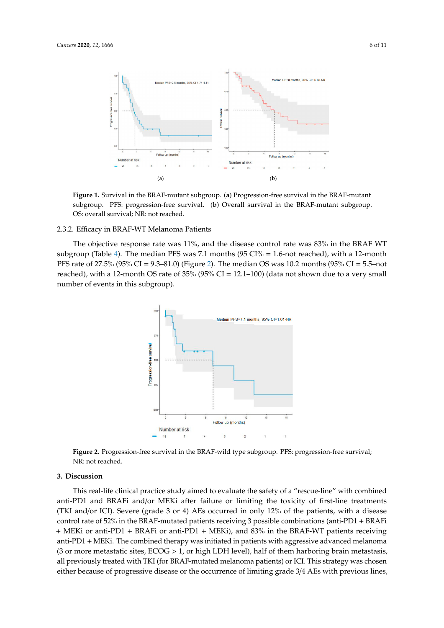

**Figure 1.** Survival in the BRAF-mutant subgroup*. (***a***)* Progression-free survival in the BRAF-mutant **Figure 1.** Survival in the BRAF-mutant subgroup. (**a**) Progression-free survival in the BRAF-mutant subgroup. PFS: progression-free survival. (**b**) Overall survival in the BRAF-mutant subgroup. OS: overall survival; NR: not reached.

#### 2.3.2. Efficacy in BRAF-WT Melanoma Patients

The objective response rate was 11%, and the disease control rate was 83% in the BRAF WT subgroup (Table 4). The median PFS was 7.1 months  $(95 \text{ CI\%} = 1.6 \text{-} \text{not reached})$ , with a 12-month PFS rate of 27.5% (95% CI = 9.3–81.0) (Figure 2). The median OS was 10.2 months (95% CI = 5.5–not reached), with a 12-month OS rate of 35% (95% CI = 12.1–100) (data not shown due to a very small number of events in this subgroup).  $arctan 12$  month  $\cos$  fact of  $\cos$  / $\cos$  / $\cos$  CI = 12.1–100) (data from ono medic to



**2.** Progression-free survival in the BRAF-wild type subgroup. PFS: progression-free **Figure 2.** Progression-free survival in the BRAF-wild type subgroup. PFS: progression-free survival; NR: not reached.

#### **3. Discussion**

This real-life clinical practice study aimed to evaluate the safety of a "rescue-line" with combined anti-PD1 and BRAFi and/or MEKi after failure or limiting the toxicity of first-line treatments (TKI and/or ICI). Severe (grade 3 or 4) AEs occurred in only 12% of the patients, with a disease control rate of 52% in the BRAF-mutated patients receiving 3 possible combinations (anti-PD1 + BRAFi + MEKi or anti-PD1 + BRAFi or anti-PD1 + MEKi), and 83% in the BRAF-WT patients receiving anti-PD1 + MEKi. The combined therapy was initiated in patients with aggressive advanced melanoma (3 or more metastatic sites,  $ECOG > 1$ , or high LDH level), half of them harboring brain metastasis, all previously treated with TKI (for BRAF-mutated melanoma patients) or ICI. This strategy was chosen either because of progressive disease or the occurrence of limiting grade 3/4 AEs with previous lines,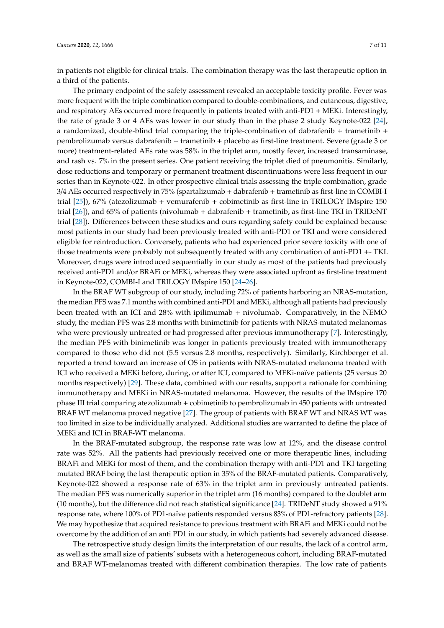in patients not eligible for clinical trials. The combination therapy was the last therapeutic option in a third of the patients.

The primary endpoint of the safety assessment revealed an acceptable toxicity profile. Fever was more frequent with the triple combination compared to double-combinations, and cutaneous, digestive, and respiratory AEs occurred more frequently in patients treated with anti-PD1 + MEKi. Interestingly, the rate of grade 3 or 4 AEs was lower in our study than in the phase 2 study Keynote-022 [24], a randomized, double-blind trial comparing the triple-combination of dabrafenib + trametinib + pembrolizumab versus dabrafenib + trametinib + placebo as first-line treatment. Severe (grade 3 or more) treatment-related AEs rate was 58% in the triplet arm, mostly fever, increased transaminase, and rash vs. 7% in the present series. One patient receiving the triplet died of pneumonitis. Similarly, dose reductions and temporary or permanent treatment discontinuations were less frequent in our series than in Keynote-022. In other prospective clinical trials assessing the triple combination, grade 3/4 AEs occurred respectively in 75% (spartalizumab + dabrafenib + trametinib as first-line in COMBI-I trial [25]), 67% (atezolizumab + vemurafenib + cobimetinib as first-line in TRILOGY IMspire 150 trial [26]), and 65% of patients (nivolumab + dabrafenib + trametinib, as first-line TKI in TRIDeNT trial [28]). Differences between these studies and ours regarding safety could be explained because most patients in our study had been previously treated with anti-PD1 or TKI and were considered eligible for reintroduction. Conversely, patients who had experienced prior severe toxicity with one of those treatments were probably not subsequently treated with any combination of anti-PD1 +- TKI. Moreover, drugs were introduced sequentially in our study as most of the patients had previously received anti-PD1 and/or BRAFi or MEKi, whereas they were associated upfront as first-line treatment in Keynote-022, COMBI-I and TRILOGY IMspire 150 [24–26].

In the BRAF WT subgroup of our study, including 72% of patients harboring an NRAS-mutation, the median PFS was 7.1 months with combined anti-PD1 and MEKi, although all patients had previously been treated with an ICI and 28% with ipilimumab + nivolumab. Comparatively, in the NEMO study, the median PFS was 2.8 months with binimetinib for patients with NRAS-mutated melanomas who were previously untreated or had progressed after previous immunotherapy [7]. Interestingly, the median PFS with binimetinib was longer in patients previously treated with immunotherapy compared to those who did not (5.5 versus 2.8 months, respectively). Similarly, Kirchberger et al. reported a trend toward an increase of OS in patients with NRAS-mutated melanoma treated with ICI who received a MEKi before, during, or after ICI, compared to MEKi-naïve patients (25 versus 20 months respectively) [29]. These data, combined with our results, support a rationale for combining immunotherapy and MEKi in NRAS-mutated melanoma. However, the results of the IMspire 170 phase III trial comparing atezolizumab + cobimetinib to pembrolizumab in 450 patients with untreated BRAF WT melanoma proved negative [27]. The group of patients with BRAF WT and NRAS WT was too limited in size to be individually analyzed. Additional studies are warranted to define the place of MEKi and ICI in BRAF-WT melanoma.

In the BRAF-mutated subgroup, the response rate was low at 12%, and the disease control rate was 52%. All the patients had previously received one or more therapeutic lines, including BRAFi and MEKi for most of them, and the combination therapy with anti-PD1 and TKI targeting mutated BRAF being the last therapeutic option in 35% of the BRAF-mutated patients. Comparatively, Keynote-022 showed a response rate of 63% in the triplet arm in previously untreated patients. The median PFS was numerically superior in the triplet arm (16 months) compared to the doublet arm (10 months), but the difference did not reach statistical significance [24]. TRIDeNT study showed a 91% response rate, where 100% of PD1-naïve patients responded versus 83% of PD1-refractory patients [28]. We may hypothesize that acquired resistance to previous treatment with BRAFi and MEKi could not be overcome by the addition of an anti PD1 in our study, in which patients had severely advanced disease.

The retrospective study design limits the interpretation of our results, the lack of a control arm, as well as the small size of patients' subsets with a heterogeneous cohort, including BRAF-mutated and BRAF WT-melanomas treated with different combination therapies. The low rate of patients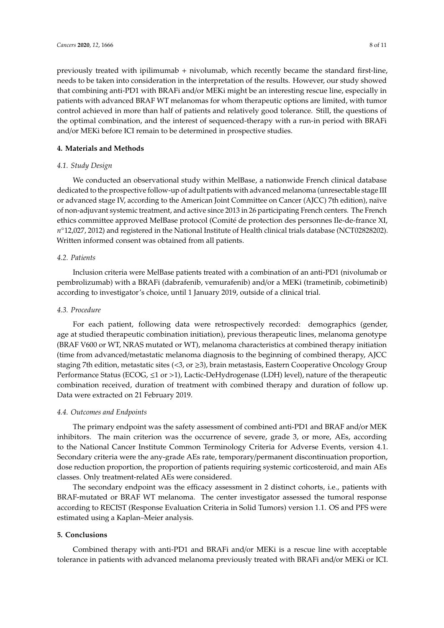previously treated with ipilimumab + nivolumab, which recently became the standard first-line, needs to be taken into consideration in the interpretation of the results. However, our study showed that combining anti-PD1 with BRAFi and/or MEKi might be an interesting rescue line, especially in patients with advanced BRAF WT melanomas for whom therapeutic options are limited, with tumor control achieved in more than half of patients and relatively good tolerance. Still, the questions of the optimal combination, and the interest of sequenced-therapy with a run-in period with BRAFi and/or MEKi before ICI remain to be determined in prospective studies.

## **4. Materials and Methods**

## *4.1. Study Design*

We conducted an observational study within MelBase, a nationwide French clinical database dedicated to the prospective follow-up of adult patients with advanced melanoma (unresectable stage III or advanced stage IV, according to the American Joint Committee on Cancer (AJCC) 7th edition), naïve of non-adjuvant systemic treatment, and active since 2013 in 26 participating French centers. The French ethics committee approved MelBase protocol (Comité de protection des personnes Ile-de-france XI, *n* ◦12,027, 2012) and registered in the National Institute of Health clinical trials database (NCT02828202). Written informed consent was obtained from all patients.

## *4.2. Patients*

Inclusion criteria were MelBase patients treated with a combination of an anti-PD1 (nivolumab or pembrolizumab) with a BRAFi (dabrafenib, vemurafenib) and/or a MEKi (trametinib, cobimetinib) according to investigator's choice, until 1 January 2019, outside of a clinical trial.

### *4.3. Procedure*

For each patient, following data were retrospectively recorded: demographics (gender, age at studied therapeutic combination initiation), previous therapeutic lines, melanoma genotype (BRAF V600 or WT, NRAS mutated or WT), melanoma characteristics at combined therapy initiation (time from advanced/metastatic melanoma diagnosis to the beginning of combined therapy, AJCC staging 7th edition, metastatic sites (<3, or  $\geq$ 3), brain metastasis, Eastern Cooperative Oncology Group Performance Status (ECOG, ≤1 or >1), Lactic-DeHydrogenase (LDH) level), nature of the therapeutic combination received, duration of treatment with combined therapy and duration of follow up. Data were extracted on 21 February 2019.

### *4.4. Outcomes and Endpoints*

The primary endpoint was the safety assessment of combined anti-PD1 and BRAF and/or MEK inhibitors. The main criterion was the occurrence of severe, grade 3, or more, AEs, according to the National Cancer Institute Common Terminology Criteria for Adverse Events, version 4.1. Secondary criteria were the any-grade AEs rate, temporary/permanent discontinuation proportion, dose reduction proportion, the proportion of patients requiring systemic corticosteroid, and main AEs classes. Only treatment-related AEs were considered.

The secondary endpoint was the efficacy assessment in 2 distinct cohorts, i.e., patients with BRAF-mutated or BRAF WT melanoma. The center investigator assessed the tumoral response according to RECIST (Response Evaluation Criteria in Solid Tumors) version 1.1. OS and PFS were estimated using a Kaplan–Meier analysis.

### **5. Conclusions**

Combined therapy with anti-PD1 and BRAFi and/or MEKi is a rescue line with acceptable tolerance in patients with advanced melanoma previously treated with BRAFi and/or MEKi or ICI.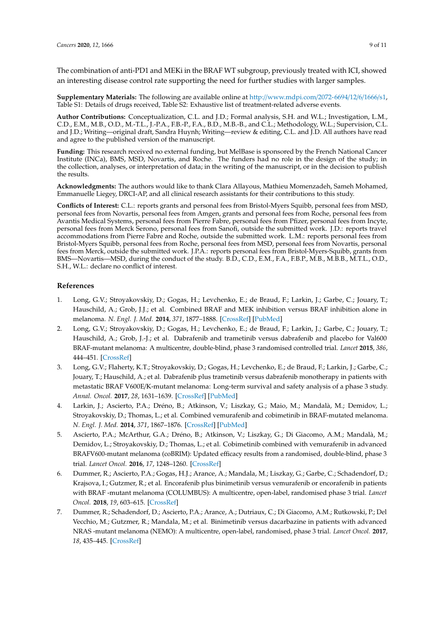The combination of anti-PD1 and MEKi in the BRAF WT subgroup, previously treated with ICI, showed an interesting disease control rate supporting the need for further studies with larger samples.

**Supplementary Materials:** The following are available online at http://[www.mdpi.com](http://www.mdpi.com/2072-6694/12/6/1666/s1)/2072-6694/12/6/1666/s1, Table S1: Details of drugs received, Table S2: Exhaustive list of treatment-related adverse events.

**Author Contributions:** Conceptualization, C.L. and J.D.; Formal analysis, S.H. and W.L.; Investigation, L.M., C.D., E.M., M.B., O.D., M.-T.L., J.-P.A., F.B.-P., F.A., B.D., M.B.-B., and C.L.; Methodology, W.L.; Supervision, C.L. and J.D.; Writing—original draft, Sandra Huynh; Writing—review & editing, C.L. and J.D. All authors have read and agree to the published version of the manuscript.

**Funding:** This research received no external funding, but MelBase is sponsored by the French National Cancer Institute (INCa), BMS, MSD, Novartis, and Roche. The funders had no role in the design of the study; in the collection, analyses, or interpretation of data; in the writing of the manuscript, or in the decision to publish the results.

**Acknowledgments:** The authors would like to thank Clara Allayous, Mathieu Momenzadeh, Sameh Mohamed, Emmanuelle Liegey, DRCI-AP, and all clinical research assistants for their contributions to this study.

**Conflicts of Interest:** C.L.: reports grants and personal fees from Bristol-Myers Squibb, personal fees from MSD, personal fees from Novartis, personal fees from Amgen, grants and personal fees from Roche, personal fees from Avantis Medical Systems, personal fees from Pierre Fabre, personal fees from Pfizer, personal fees from Incyte, personal fees from Merck Serono, personal fees from Sanofi, outside the submitted work. J.D.: reports travel accommodations from Pierre Fabre and Roche, outside the submitted work. L.M.: reports personal fees from Bristol-Myers Squibb, personal fees from Roche, personal fees from MSD, personal fees from Novartis, personal fees from Merck, outside the submitted work. J.P.A.: reports personal fees from Bristol-Myers-Squibb, grants from BMS—Novartis—MSD, during the conduct of the study. B.D., C.D., E.M., F.A., F.B.P., M.B., M.B.B., M.T.L., O.D., S.H., W.L.: declare no conflict of interest.

#### **References**

- 1. Long, G.V.; Stroyakovskiy, D.; Gogas, H.; Levchenko, E.; de Braud, F.; Larkin, J.; Garbe, C.; Jouary, T.; Hauschild, A.; Grob, J.J.; et al. Combined BRAF and MEK inhibition versus BRAF inhibition alone in melanoma. *N. Engl. J. Med.* **2014**, *371*, 1877–1888. [\[CrossRef\]](http://dx.doi.org/10.1056/NEJMoa1406037) [\[PubMed\]](http://www.ncbi.nlm.nih.gov/pubmed/25265492)
- 2. Long, G.V.; Stroyakovskiy, D.; Gogas, H.; Levchenko, E.; de Braud, F.; Larkin, J.; Garbe, C.; Jouary, T.; Hauschild, A.; Grob, J.-J.; et al. Dabrafenib and trametinib versus dabrafenib and placebo for Val600 BRAF-mutant melanoma: A multicentre, double-blind, phase 3 randomised controlled trial. *Lancet* **2015**, *386*, 444–451. [\[CrossRef\]](http://dx.doi.org/10.1016/S0140-6736(15)60898-4)
- 3. Long, G.V.; Flaherty, K.T.; Stroyakovskiy, D.; Gogas, H.; Levchenko, E.; de Braud, F.; Larkin, J.; Garbe, C.; Jouary, T.; Hauschild, A.; et al. Dabrafenib plus trametinib versus dabrafenib monotherapy in patients with metastatic BRAF V600E/K-mutant melanoma: Long-term survival and safety analysis of a phase 3 study. *Annal. Oncol.* **2017**, *28*, 1631–1639. [\[CrossRef\]](http://dx.doi.org/10.1093/annonc/mdx176) [\[PubMed\]](http://www.ncbi.nlm.nih.gov/pubmed/28475671)
- 4. Larkin, J.; Ascierto, P.A.; Dréno, B.; Atkinson, V.; Liszkay, G.; Maio, M.; Mandalà, M.; Demidov, L.; Stroyakovskiy, D.; Thomas, L.; et al. Combined vemurafenib and cobimetinib in BRAF-mutated melanoma. *N. Engl. J. Med.* **2014**, *371*, 1867–1876. [\[CrossRef\]](http://dx.doi.org/10.1056/NEJMoa1408868) [\[PubMed\]](http://www.ncbi.nlm.nih.gov/pubmed/25265494)
- 5. Ascierto, P.A.; McArthur, G.A.; Dréno, B.; Atkinson, V.; Liszkay, G.; Di Giacomo, A.M.; Mandalà, M.; Demidov, L.; Stroyakovskiy, D.; Thomas, L.; et al. Cobimetinib combined with vemurafenib in advanced BRAFV600-mutant melanoma (coBRIM): Updated efficacy results from a randomised, double-blind, phase 3 trial. *Lancet Oncol.* **2016**, *17*, 1248–1260. [\[CrossRef\]](http://dx.doi.org/10.1016/S1470-2045(16)30122-X)
- 6. Dummer, R.; Ascierto, P.A.; Gogas, H.J.; Arance, A.; Mandala, M.; Liszkay, G.; Garbe, C.; Schadendorf, D.; Krajsova, I.; Gutzmer, R.; et al. Encorafenib plus binimetinib versus vemurafenib or encorafenib in patients with BRAF -mutant melanoma (COLUMBUS): A multicentre, open-label, randomised phase 3 trial. *Lancet Oncol.* **2018**, *19*, 603–615. [\[CrossRef\]](http://dx.doi.org/10.1016/S1470-2045(18)30142-6)
- 7. Dummer, R.; Schadendorf, D.; Ascierto, P.A.; Arance, A.; Dutriaux, C.; Di Giacomo, A.M.; Rutkowski, P.; Del Vecchio, M.; Gutzmer, R.; Mandala, M.; et al. Binimetinib versus dacarbazine in patients with advanced NRAS -mutant melanoma (NEMO): A multicentre, open-label, randomised, phase 3 trial. *Lancet Oncol.* **2017**, *18*, 435–445. [\[CrossRef\]](http://dx.doi.org/10.1016/S1470-2045(17)30180-8)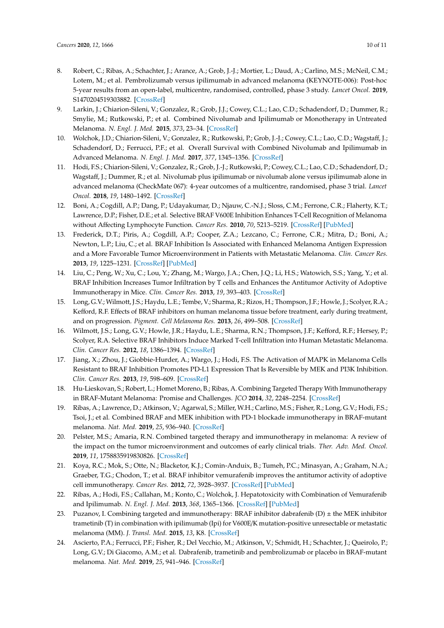- 8. Robert, C.; Ribas, A.; Schachter, J.; Arance, A.; Grob, J.-J.; Mortier, L.; Daud, A.; Carlino, M.S.; McNeil, C.M.; Lotem, M.; et al. Pembrolizumab versus ipilimumab in advanced melanoma (KEYNOTE-006): Post-hoc 5-year results from an open-label, multicentre, randomised, controlled, phase 3 study. *Lancet Oncol.* **2019**, S1470204519303882. [\[CrossRef\]](http://dx.doi.org/10.1016/S1470-2045(19)30388-2)
- 9. Larkin, J.; Chiarion-Sileni, V.; Gonzalez, R.; Grob, J.J.; Cowey, C.L.; Lao, C.D.; Schadendorf, D.; Dummer, R.; Smylie, M.; Rutkowski, P.; et al. Combined Nivolumab and Ipilimumab or Monotherapy in Untreated Melanoma. *N. Engl. J. Med.* **2015**, *373*, 23–34. [\[CrossRef\]](http://dx.doi.org/10.1056/NEJMoa1504030)
- 10. Wolchok, J.D.; Chiarion-Sileni, V.; Gonzalez, R.; Rutkowski, P.; Grob, J.-J.; Cowey, C.L.; Lao, C.D.; Wagstaff, J.; Schadendorf, D.; Ferrucci, P.F.; et al. Overall Survival with Combined Nivolumab and Ipilimumab in Advanced Melanoma. *N. Engl. J. Med.* **2017**, *377*, 1345–1356. [\[CrossRef\]](http://dx.doi.org/10.1056/NEJMoa1709684)
- 11. Hodi, F.S.; Chiarion-Sileni, V.; Gonzalez, R.; Grob, J.-J.; Rutkowski, P.; Cowey, C.L.; Lao, C.D.; Schadendorf, D.; Wagstaff, J.; Dummer, R.; et al. Nivolumab plus ipilimumab or nivolumab alone versus ipilimumab alone in advanced melanoma (CheckMate 067): 4-year outcomes of a multicentre, randomised, phase 3 trial. *Lancet Oncol.* **2018**, *19*, 1480–1492. [\[CrossRef\]](http://dx.doi.org/10.1016/S1470-2045(18)30700-9)
- 12. Boni, A.; Cogdill, A.P.; Dang, P.; Udayakumar, D.; Njauw, C.-N.J.; Sloss, C.M.; Ferrone, C.R.; Flaherty, K.T.; Lawrence, D.P.; Fisher, D.E.; et al. Selective BRAF V600E Inhibition Enhances T-Cell Recognition of Melanoma without Affecting Lymphocyte Function. *Cancer Res.* **2010**, *70*, 5213–5219. [\[CrossRef\]](http://dx.doi.org/10.1158/0008-5472.CAN-10-0118) [\[PubMed\]](http://www.ncbi.nlm.nih.gov/pubmed/20551059)
- 13. Frederick, D.T.; Piris, A.; Cogdill, A.P.; Cooper, Z.A.; Lezcano, C.; Ferrone, C.R.; Mitra, D.; Boni, A.; Newton, L.P.; Liu, C.; et al. BRAF Inhibition Is Associated with Enhanced Melanoma Antigen Expression and a More Favorable Tumor Microenvironment in Patients with Metastatic Melanoma. *Clin. Cancer Res.* **2013**, *19*, 1225–1231. [\[CrossRef\]](http://dx.doi.org/10.1158/1078-0432.CCR-12-1630) [\[PubMed\]](http://www.ncbi.nlm.nih.gov/pubmed/23307859)
- 14. Liu, C.; Peng, W.; Xu, C.; Lou, Y.; Zhang, M.; Wargo, J.A.; Chen, J.Q.; Li, H.S.; Watowich, S.S.; Yang, Y.; et al. BRAF Inhibition Increases Tumor Infiltration by T cells and Enhances the Antitumor Activity of Adoptive Immunotherapy in Mice. *Clin. Cancer Res.* **2013**, *19*, 393–403. [\[CrossRef\]](http://dx.doi.org/10.1158/1078-0432.CCR-12-1626)
- 15. Long, G.V.; Wilmott, J.S.; Haydu, L.E.; Tembe, V.; Sharma, R.; Rizos, H.; Thompson, J.F.; Howle, J.; Scolyer, R.A.; Kefford, R.F. Effects of BRAF inhibitors on human melanoma tissue before treatment, early during treatment, and on progression. *Pigment. Cell Melanoma Res.* **2013**, *26*, 499–508. [\[CrossRef\]](http://dx.doi.org/10.1111/pcmr.12098)
- 16. Wilmott, J.S.; Long, G.V.; Howle, J.R.; Haydu, L.E.; Sharma, R.N.; Thompson, J.F.; Kefford, R.F.; Hersey, P.; Scolyer, R.A. Selective BRAF Inhibitors Induce Marked T-cell Infiltration into Human Metastatic Melanoma. *Clin. Cancer Res.* **2012**, *18*, 1386–1394. [\[CrossRef\]](http://dx.doi.org/10.1158/1078-0432.CCR-11-2479)
- 17. Jiang, X.; Zhou, J.; Giobbie-Hurder, A.; Wargo, J.; Hodi, F.S. The Activation of MAPK in Melanoma Cells Resistant to BRAF Inhibition Promotes PD-L1 Expression That Is Reversible by MEK and PI3K Inhibition. *Clin. Cancer Res.* **2013**, *19*, 598–609. [\[CrossRef\]](http://dx.doi.org/10.1158/1078-0432.CCR-12-2731)
- 18. Hu-Lieskovan, S.; Robert, L.; Homet Moreno, B.; Ribas, A. Combining Targeted Therapy With Immunotherapy in BRAF-Mutant Melanoma: Promise and Challenges. *JCO* **2014**, *32*, 2248–2254. [\[CrossRef\]](http://dx.doi.org/10.1200/JCO.2013.52.1377)
- 19. Ribas, A.; Lawrence, D.; Atkinson, V.; Agarwal, S.; Miller, W.H.; Carlino, M.S.; Fisher, R.; Long, G.V.; Hodi, F.S.; Tsoi, J.; et al. Combined BRAF and MEK inhibition with PD-1 blockade immunotherapy in BRAF-mutant melanoma. *Nat. Med.* **2019**, *25*, 936–940. [\[CrossRef\]](http://dx.doi.org/10.1038/s41591-019-0476-5)
- 20. Pelster, M.S.; Amaria, R.N. Combined targeted therapy and immunotherapy in melanoma: A review of the impact on the tumor microenvironment and outcomes of early clinical trials. *Ther. Adv. Med. Oncol.* **2019**, *11*, 1758835919830826. [\[CrossRef\]](http://dx.doi.org/10.1177/1758835919830826)
- 21. Koya, R.C.; Mok, S.; Otte, N.; Blacketor, K.J.; Comin-Anduix, B.; Tumeh, P.C.; Minasyan, A.; Graham, N.A.; Graeber, T.G.; Chodon, T.; et al. BRAF inhibitor vemurafenib improves the antitumor activity of adoptive cell immunotherapy. *Cancer Res.* **2012**, *72*, 3928–3937. [\[CrossRef\]](http://dx.doi.org/10.1158/0008-5472.CAN-11-2837) [\[PubMed\]](http://www.ncbi.nlm.nih.gov/pubmed/22693252)
- 22. Ribas, A.; Hodi, F.S.; Callahan, M.; Konto, C.; Wolchok, J. Hepatotoxicity with Combination of Vemurafenib and Ipilimumab. *N. Engl. J. Med.* **2013**, *368*, 1365–1366. [\[CrossRef\]](http://dx.doi.org/10.1056/NEJMc1302338) [\[PubMed\]](http://www.ncbi.nlm.nih.gov/pubmed/23550685)
- 23. Puzanov, I. Combining targeted and immunotherapy: BRAF inhibitor dabrafenib  $(D) \pm$  the MEK inhibitor trametinib (T) in combination with ipilimumab (Ipi) for V600E/K mutation-positive unresectable or metastatic melanoma (MM). *J. Transl. Med.* **2015**, *13*, K8. [\[CrossRef\]](http://dx.doi.org/10.1186/1479-5876-13-S1-K8)
- 24. Ascierto, P.A.; Ferrucci, P.F.; Fisher, R.; Del Vecchio, M.; Atkinson, V.; Schmidt, H.; Schachter, J.; Queirolo, P.; Long, G.V.; Di Giacomo, A.M.; et al. Dabrafenib, trametinib and pembrolizumab or placebo in BRAF-mutant melanoma. *Nat. Med.* **2019**, *25*, 941–946. [\[CrossRef\]](http://dx.doi.org/10.1038/s41591-019-0448-9)